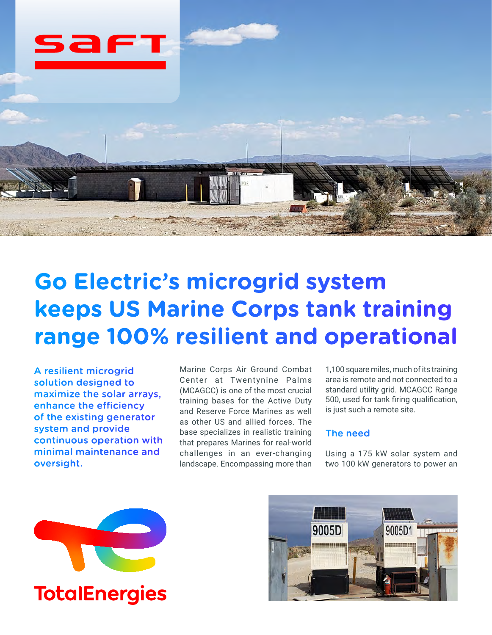

# **Go Electric's microgrid system keeps US Marine Corps tank training range 100% resilient and operational**

A resilient microgrid solution designed to maximize the solar arrays, enhance the efficiency of the existing generator system and provide continuous operation with minimal maintenance and oversight.

Marine Corps Air Ground Combat Center at Twentynine Palms (MCAGCC) is one of the most crucial training bases for the Active Duty and Reserve Force Marines as well as other US and allied forces. The base specializes in realistic training that prepares Marines for real-world challenges in an ever-changing landscape. Encompassing more than

1,100 square miles, much of its training area is remote and not connected to a standard utility grid. MCAGCC Range 500, used for tank firing qualification, is just such a remote site.

## The need

Using a 175 kW solar system and two 100 kW generators to power an